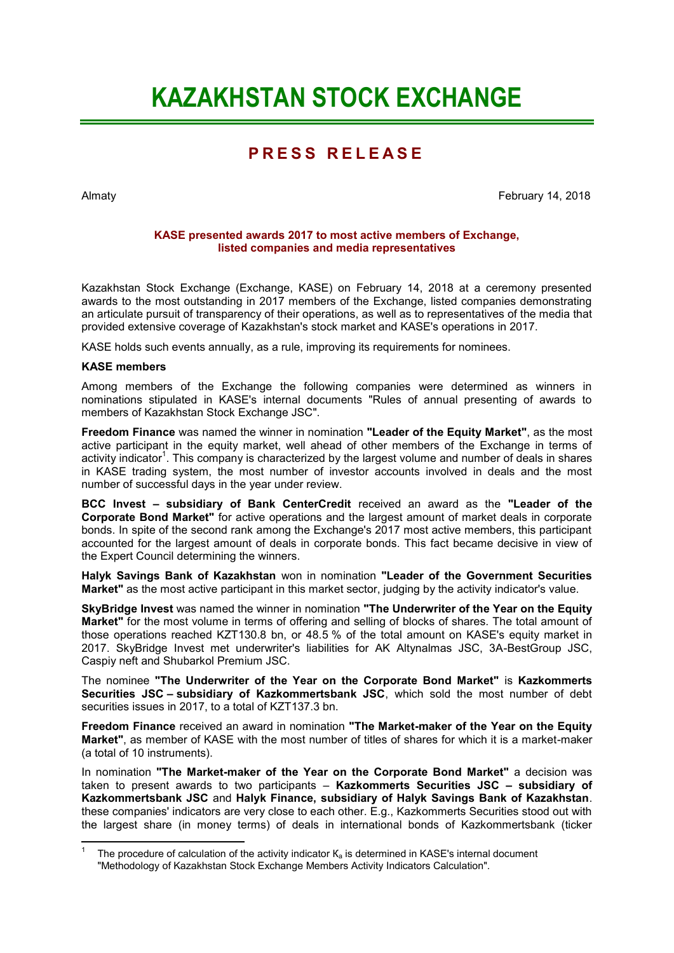# **KAZAKHSTAN STOCK EXCHANGE**

## **P R E S S R E L E A S E**

Almaty February 14, 2018

#### **KASE presented awards 2017 to most active members of Exchange, listed companies and media representatives**

Kazakhstan Stock Exchange (Exchange, KASE) on February 14, 2018 at a ceremony presented awards to the most outstanding in 2017 members of the Exchange, listed companies demonstrating an articulate pursuit of transparency of their operations, as well as to representatives of the media that provided extensive coverage of Kazakhstan's stock market and KASE's operations in 2017.

KASE holds such events annually, as a rule, improving its requirements for nominees.

#### **KASE members**

**.** 

Among members of the Exchange the following companies were determined as winners in nominations stipulated in KASE's internal documents "Rules of annual presenting of awards to members of Kazakhstan Stock Exchange JSC".

**Freedom Finance** was named the winner in nomination **"Leader of the Equity Market"**, as the most active participant in the equity market, well ahead of other members of the Exchange in terms of activity indicator<sup>1</sup>. This company is characterized by the largest volume and number of deals in shares in KASE trading system, the most number of investor accounts involved in deals and the most number of successful days in the year under review.

**BCC Invest – subsidiary of Bank CenterCredit** received an award as the **"Leader of the Corporate Bond Market"** for active operations and the largest amount of market deals in corporate bonds. In spite of the second rank among the Exchange's 2017 most active members, this participant accounted for the largest amount of deals in corporate bonds. This fact became decisive in view of the Expert Council determining the winners.

**Halyk Savings Bank of Kazakhstan** won in nomination **"Leader of the Government Securities Market"** as the most active participant in this market sector, judging by the activity indicator's value.

**SkyBridge Invest** was named the winner in nomination **"The Underwriter of the Year on the Equity Market"** for the most volume in terms of offering and selling of blocks of shares. The total amount of those operations reached KZT130.8 bn, or 48.5 % of the total amount on KASE's equity market in 2017. SkyBridge Invest met underwriter's liabilities for AK Altynalmas JSC, 3А-BestGroup JSC, Caspiy neft and Shubarkol Premium JSC.

The nominee **"The Underwriter of the Year on the Corporate Bond Market"** is **Kazkommerts Securities JSC – subsidiary of Kazkommertsbank JSC**, which sold the most number of debt securities issues in 2017, to a total of KZT137.3 bn.

**Freedom Finance** received an award in nomination **"The Market-maker of the Year on the Equity Market"**, as member of KASE with the most number of titles of shares for which it is a market-maker (a total of 10 instruments).

In nomination **"The Market-maker of the Year on the Corporate Bond Market"** a decision was taken to present awards to two participants – **Kazkommerts Securities JSC – subsidiary of Kazkommertsbank JSC** and **Halyk Finance, subsidiary of Halyk Savings Bank of Kazakhstan**. these companies' indicators are very close to each other. E.g., Kazkommerts Securities stood out with the largest share (in money terms) of deals in international bonds of Kazkommertsbank (ticker

<sup>1</sup> The procedure of calculation of the activity indicator  $K_a$  is determined in KASE's internal document "Methodology of Kazakhstan Stock Exchange Members Activity Indicators Calculation".